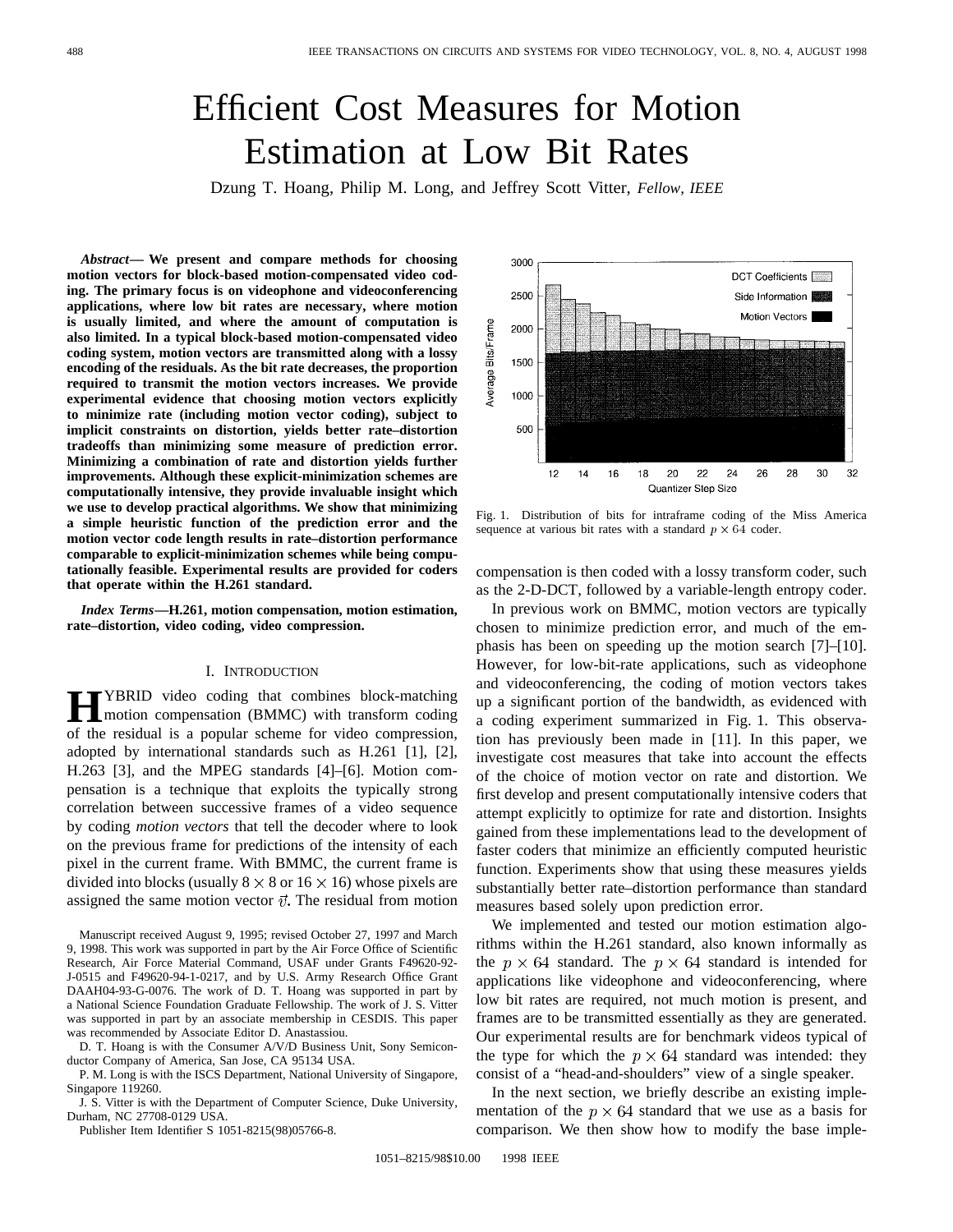# Efficient Cost Measures for Motion Estimation at Low Bit Rates

Dzung T. Hoang, Philip M. Long, and Jeffrey Scott Vitter, *Fellow, IEEE*

*Abstract—* **We present and compare methods for choosing motion vectors for block-based motion-compensated video coding. The primary focus is on videophone and videoconferencing applications, where low bit rates are necessary, where motion is usually limited, and where the amount of computation is also limited. In a typical block-based motion-compensated video coding system, motion vectors are transmitted along with a lossy encoding of the residuals. As the bit rate decreases, the proportion required to transmit the motion vectors increases. We provide experimental evidence that choosing motion vectors explicitly to minimize rate (including motion vector coding), subject to implicit constraints on distortion, yields better rate–distortion tradeoffs than minimizing some measure of prediction error. Minimizing a combination of rate and distortion yields further improvements. Although these explicit-minimization schemes are computationally intensive, they provide invaluable insight which we use to develop practical algorithms. We show that minimizing a simple heuristic function of the prediction error and the motion vector code length results in rate–distortion performance comparable to explicit-minimization schemes while being computationally feasible. Experimental results are provided for coders that operate within the H.261 standard.**

*Index Terms—***H.261, motion compensation, motion estimation, rate–distortion, video coding, video compression.**

#### I. INTRODUCTION

**HYBRID** video coding that combines block-matching motion compensation (BMMC) with transform coding of the residual is a popular scheme for video compression, adopted by international standards such as H.261 [1], [2], H.263 [3], and the MPEG standards [4]–[6]. Motion compensation is a technique that exploits the typically strong correlation between successive frames of a video sequence by coding *motion vectors* that tell the decoder where to look on the previous frame for predictions of the intensity of each pixel in the current frame. With BMMC, the current frame is divided into blocks (usually  $8 \times 8$  or  $16 \times 16$ ) whose pixels are assigned the same motion vector  $\vec{v}$ . The residual from motion

Manuscript received August 9, 1995; revised October 27, 1997 and March 9, 1998. This work was supported in part by the Air Force Office of Scientific Research, Air Force Material Command, USAF under Grants F49620-92- J-0515 and F49620-94-1-0217, and by U.S. Army Research Office Grant DAAH04-93-G-0076. The work of D. T. Hoang was supported in part by a National Science Foundation Graduate Fellowship. The work of J. S. Vitter was supported in part by an associate membership in CESDIS. This paper was recommended by Associate Editor D. Anastassiou.

D. T. Hoang is with the Consumer A/V/D Business Unit, Sony Semiconductor Company of America, San Jose, CA 95134 USA.

P. M. Long is with the ISCS Department, National University of Singapore, Singapore 119260.

J. S. Vitter is with the Department of Computer Science, Duke University, Durham, NC 27708-0129 USA.

Publisher Item Identifier S 1051-8215(98)05766-8.

DCT Coefficients 2500 Side Information Motion Vectors 2000 1500 1000 500 32 20 22 24 26 28 30 14 16 18 12 Quantizer Step Size

Fig. 1. Distribution of bits for intraframe coding of the Miss America sequence at various bit rates with a standard  $p \times 64$  coder.

compensation is then coded with a lossy transform coder, such as the 2-D-DCT, followed by a variable-length entropy coder.

In previous work on BMMC, motion vectors are typically chosen to minimize prediction error, and much of the emphasis has been on speeding up the motion search [7]–[10]. However, for low-bit-rate applications, such as videophone and videoconferencing, the coding of motion vectors takes up a significant portion of the bandwidth, as evidenced with a coding experiment summarized in Fig. 1. This observation has previously been made in [11]. In this paper, we investigate cost measures that take into account the effects of the choice of motion vector on rate and distortion. We first develop and present computationally intensive coders that attempt explicitly to optimize for rate and distortion. Insights gained from these implementations lead to the development of faster coders that minimize an efficiently computed heuristic function. Experiments show that using these measures yields substantially better rate–distortion performance than standard measures based solely upon prediction error.

We implemented and tested our motion estimation algorithms within the H.261 standard, also known informally as the  $p \times 64$  standard. The  $p \times 64$  standard is intended for applications like videophone and videoconferencing, where low bit rates are required, not much motion is present, and frames are to be transmitted essentially as they are generated. Our experimental results are for benchmark videos typical of the type for which the  $p \times 64$  standard was intended: they consist of a "head-and-shoulders" view of a single speaker.

In the next section, we briefly describe an existing implementation of the  $p \times 64$  standard that we use as a basis for comparison. We then show how to modify the base imple-

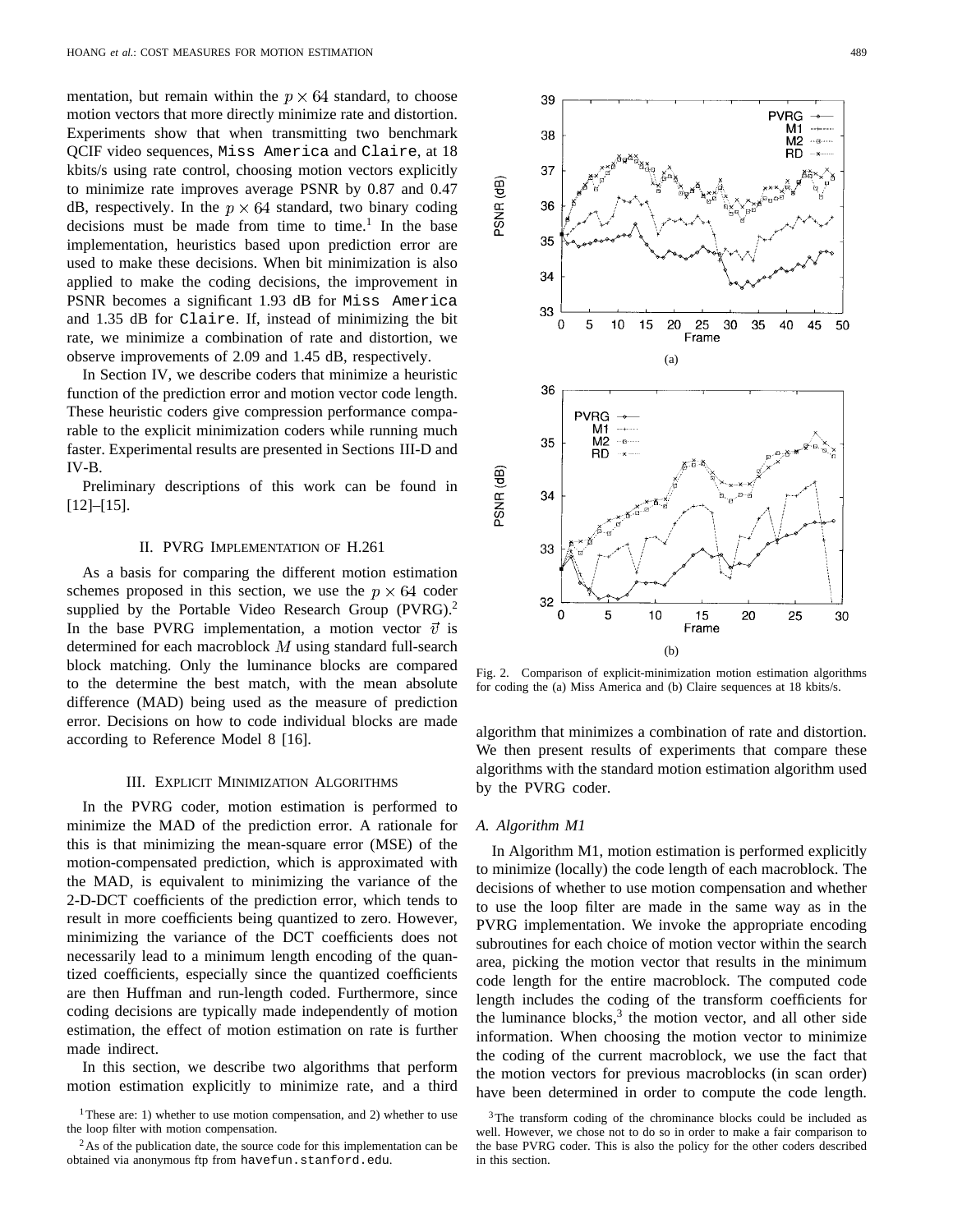mentation, but remain within the  $p \times 64$  standard, to choose motion vectors that more directly minimize rate and distortion. Experiments show that when transmitting two benchmark QCIF video sequences, Miss America and Claire, at 18 kbits/s using rate control, choosing motion vectors explicitly to minimize rate improves average PSNR by 0.87 and 0.47 dB, respectively. In the  $p \times 64$  standard, two binary coding decisions must be made from time to time.<sup>1</sup> In the base implementation, heuristics based upon prediction error are used to make these decisions. When bit minimization is also applied to make the coding decisions, the improvement in PSNR becomes a significant 1.93 dB for Miss America and 1.35 dB for Claire. If, instead of minimizing the bit rate, we minimize a combination of rate and distortion, we observe improvements of 2.09 and 1.45 dB, respectively.

In Section IV, we describe coders that minimize a heuristic function of the prediction error and motion vector code length. These heuristic coders give compression performance comparable to the explicit minimization coders while running much faster. Experimental results are presented in Sections III-D and IV-B.

Preliminary descriptions of this work can be found in [12]–[15].

# II. PVRG IMPLEMENTATION OF H.261

As a basis for comparing the different motion estimation schemes proposed in this section, we use the  $p \times 64$  coder supplied by the Portable Video Research Group (PVRG).<sup>2</sup> In the base PVRG implementation, a motion vector  $\vec{v}$  is determined for each macroblock  $M$  using standard full-search block matching. Only the luminance blocks are compared to the determine the best match, with the mean absolute difference (MAD) being used as the measure of prediction error. Decisions on how to code individual blocks are made according to Reference Model 8 [16].

# III. EXPLICIT MINIMIZATION ALGORITHMS

In the PVRG coder, motion estimation is performed to minimize the MAD of the prediction error. A rationale for this is that minimizing the mean-square error (MSE) of the motion-compensated prediction, which is approximated with the MAD, is equivalent to minimizing the variance of the 2-D-DCT coefficients of the prediction error, which tends to result in more coefficients being quantized to zero. However, minimizing the variance of the DCT coefficients does not necessarily lead to a minimum length encoding of the quantized coefficients, especially since the quantized coefficients are then Huffman and run-length coded. Furthermore, since coding decisions are typically made independently of motion estimation, the effect of motion estimation on rate is further made indirect.

In this section, we describe two algorithms that perform motion estimation explicitly to minimize rate, and a third



Fig. 2. Comparison of explicit-minimization motion estimation algorithms for coding the (a) Miss America and (b) Claire sequences at 18 kbits/s.

algorithm that minimizes a combination of rate and distortion. We then present results of experiments that compare these algorithms with the standard motion estimation algorithm used by the PVRG coder.

#### *A. Algorithm M1*

In Algorithm M1, motion estimation is performed explicitly to minimize (locally) the code length of each macroblock. The decisions of whether to use motion compensation and whether to use the loop filter are made in the same way as in the PVRG implementation. We invoke the appropriate encoding subroutines for each choice of motion vector within the search area, picking the motion vector that results in the minimum code length for the entire macroblock. The computed code length includes the coding of the transform coefficients for the luminance blocks, $3$  the motion vector, and all other side information. When choosing the motion vector to minimize the coding of the current macroblock, we use the fact that the motion vectors for previous macroblocks (in scan order) have been determined in order to compute the code length.

<sup>&</sup>lt;sup>1</sup>These are: 1) whether to use motion compensation, and 2) whether to use the loop filter with motion compensation.

 $2$ As of the publication date, the source code for this implementation can be obtained via anonymous ftp from havefun.stanford.edu.

<sup>&</sup>lt;sup>3</sup>The transform coding of the chrominance blocks could be included as well. However, we chose not to do so in order to make a fair comparison to the base PVRG coder. This is also the policy for the other coders described in this section.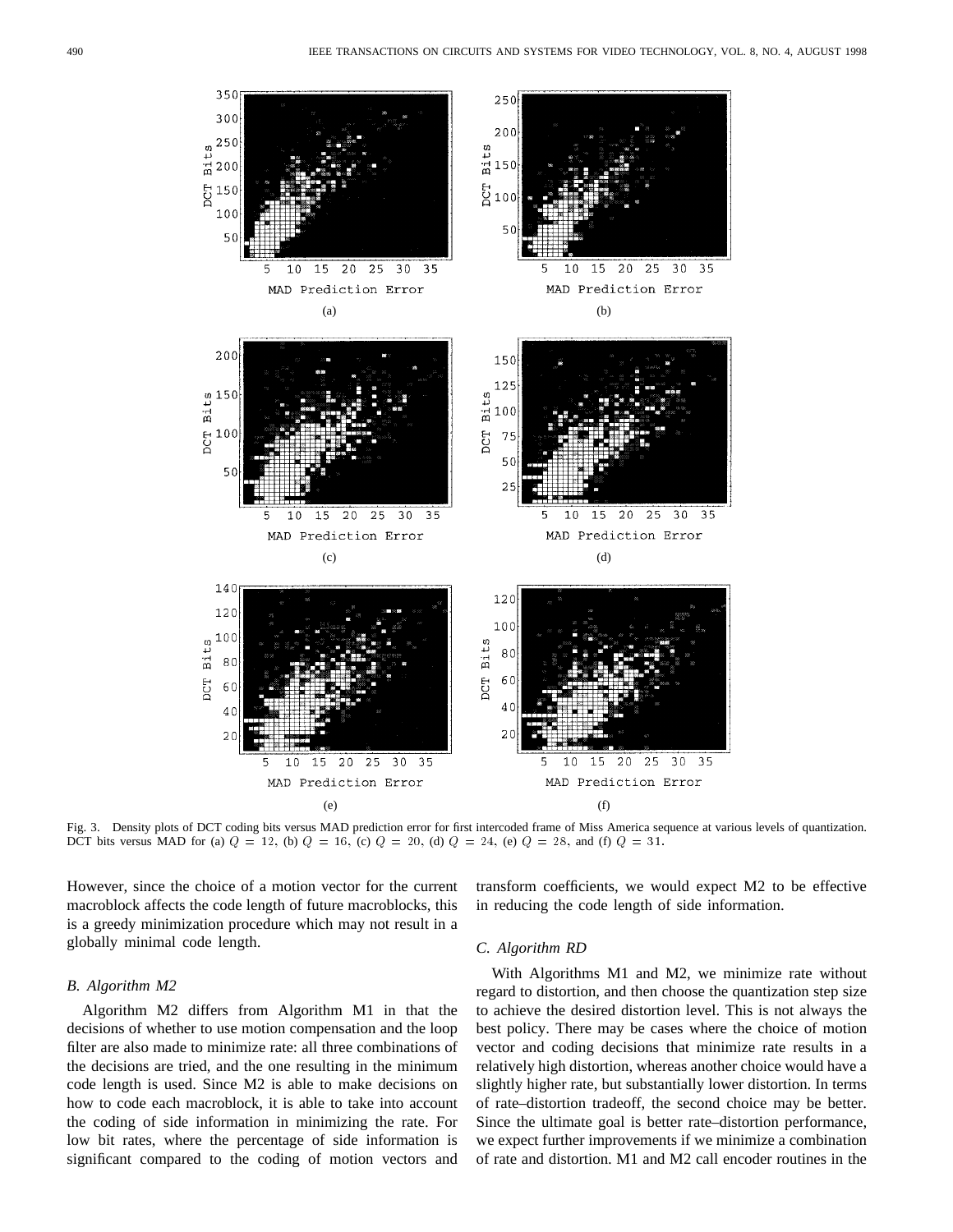

Fig. 3. Density plots of DCT coding bits versus MAD prediction error for first intercoded frame of Miss America sequence at various levels of quantization. DCT bits versus MAD for (a)  $Q = 12$ , (b)  $Q = 16$ , (c)  $Q = 20$ , (d)  $Q = 24$ , (e)  $Q = 28$ , and (f)  $Q = 31$ .

However, since the choice of a motion vector for the current macroblock affects the code length of future macroblocks, this is a greedy minimization procedure which may not result in a globally minimal code length.

transform coefficients, we would expect M2 to be effective in reducing the code length of side information.

## *B. Algorithm M2*

Algorithm M2 differs from Algorithm M1 in that the decisions of whether to use motion compensation and the loop filter are also made to minimize rate: all three combinations of the decisions are tried, and the one resulting in the minimum code length is used. Since M2 is able to make decisions on how to code each macroblock, it is able to take into account the coding of side information in minimizing the rate. For low bit rates, where the percentage of side information is significant compared to the coding of motion vectors and

## *C. Algorithm RD*

With Algorithms M1 and M2, we minimize rate without regard to distortion, and then choose the quantization step size to achieve the desired distortion level. This is not always the best policy. There may be cases where the choice of motion vector and coding decisions that minimize rate results in a relatively high distortion, whereas another choice would have a slightly higher rate, but substantially lower distortion. In terms of rate–distortion tradeoff, the second choice may be better. Since the ultimate goal is better rate–distortion performance, we expect further improvements if we minimize a combination of rate and distortion. M1 and M2 call encoder routines in the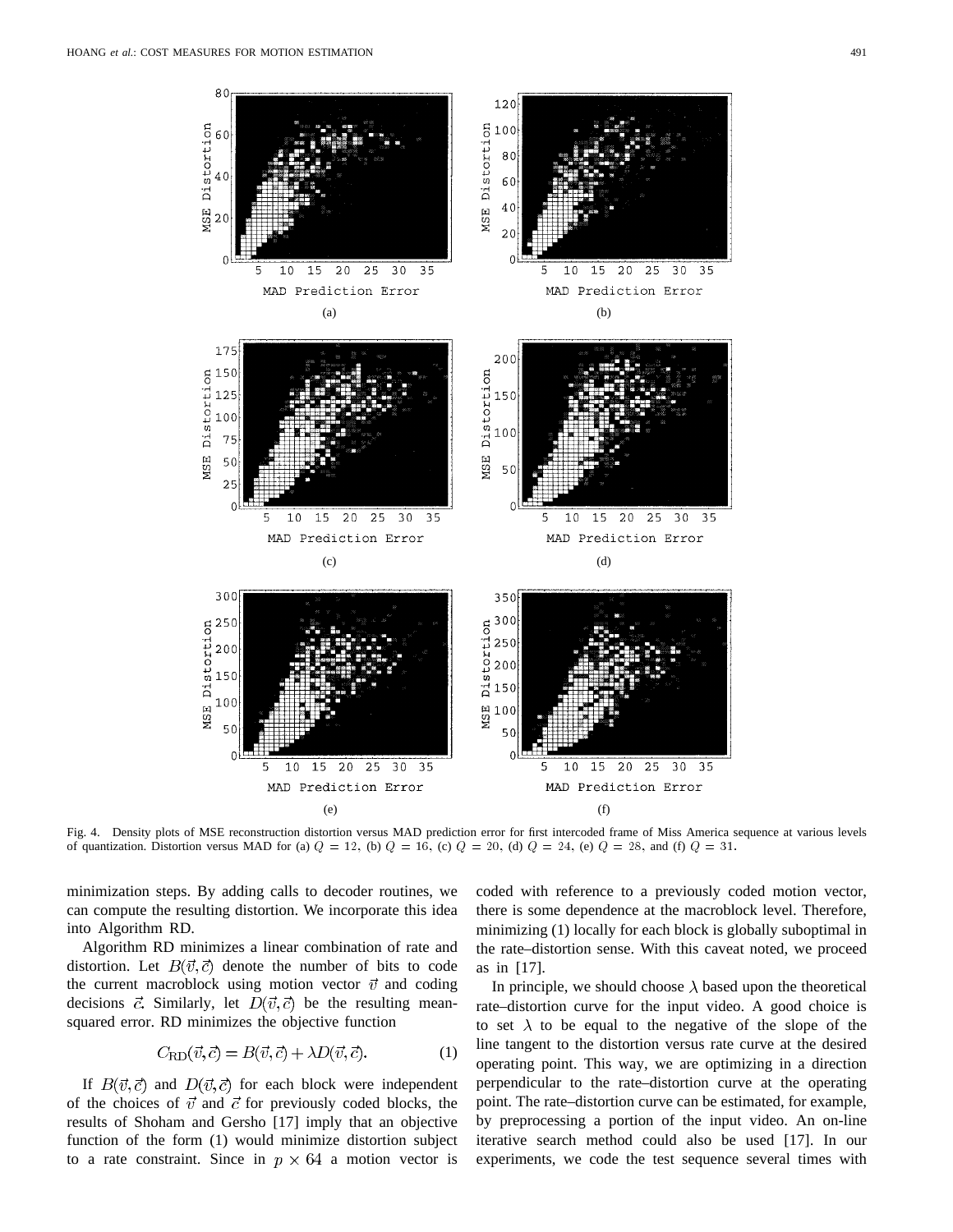

Fig. 4. Density plots of MSE reconstruction distortion versus MAD prediction error for first intercoded frame of Miss America sequence at various levels of quantization. Distortion versus MAD for (a)  $Q = 12$ , (b)  $Q = 16$ , (c)  $Q = 20$ , (d)  $Q = 24$ , (e)  $Q = 28$ , and (f)  $Q = 31$ .

minimization steps. By adding calls to decoder routines, we can compute the resulting distortion. We incorporate this idea into Algorithm RD.

Algorithm RD minimizes a linear combination of rate and distortion. Let  $B(\vec{v}, \vec{c})$  denote the number of bits to code the current macroblock using motion vector  $\vec{v}$  and coding decisions  $\vec{c}$ . Similarly, let  $D(\vec{v}, \vec{c})$  be the resulting meansquared error. RD minimizes the objective function

$$
C_{\rm RD}(\vec{v}, \vec{c}) = B(\vec{v}, \vec{c}) + \lambda D(\vec{v}, \vec{c}). \tag{1}
$$

If  $B(\vec{v}, \vec{c})$  and  $D(\vec{v}, \vec{c})$  for each block were independent of the choices of  $\vec{v}$  and  $\vec{c}$  for previously coded blocks, the results of Shoham and Gersho [17] imply that an objective function of the form (1) would minimize distortion subject to a rate constraint. Since in  $p \times 64$  a motion vector is coded with reference to a previously coded motion vector, there is some dependence at the macroblock level. Therefore, minimizing (1) locally for each block is globally suboptimal in the rate–distortion sense. With this caveat noted, we proceed as in [17].

In principle, we should choose  $\lambda$  based upon the theoretical rate–distortion curve for the input video. A good choice is to set  $\lambda$  to be equal to the negative of the slope of the line tangent to the distortion versus rate curve at the desired operating point. This way, we are optimizing in a direction perpendicular to the rate–distortion curve at the operating point. The rate–distortion curve can be estimated, for example, by preprocessing a portion of the input video. An on-line iterative search method could also be used [17]. In our experiments, we code the test sequence several times with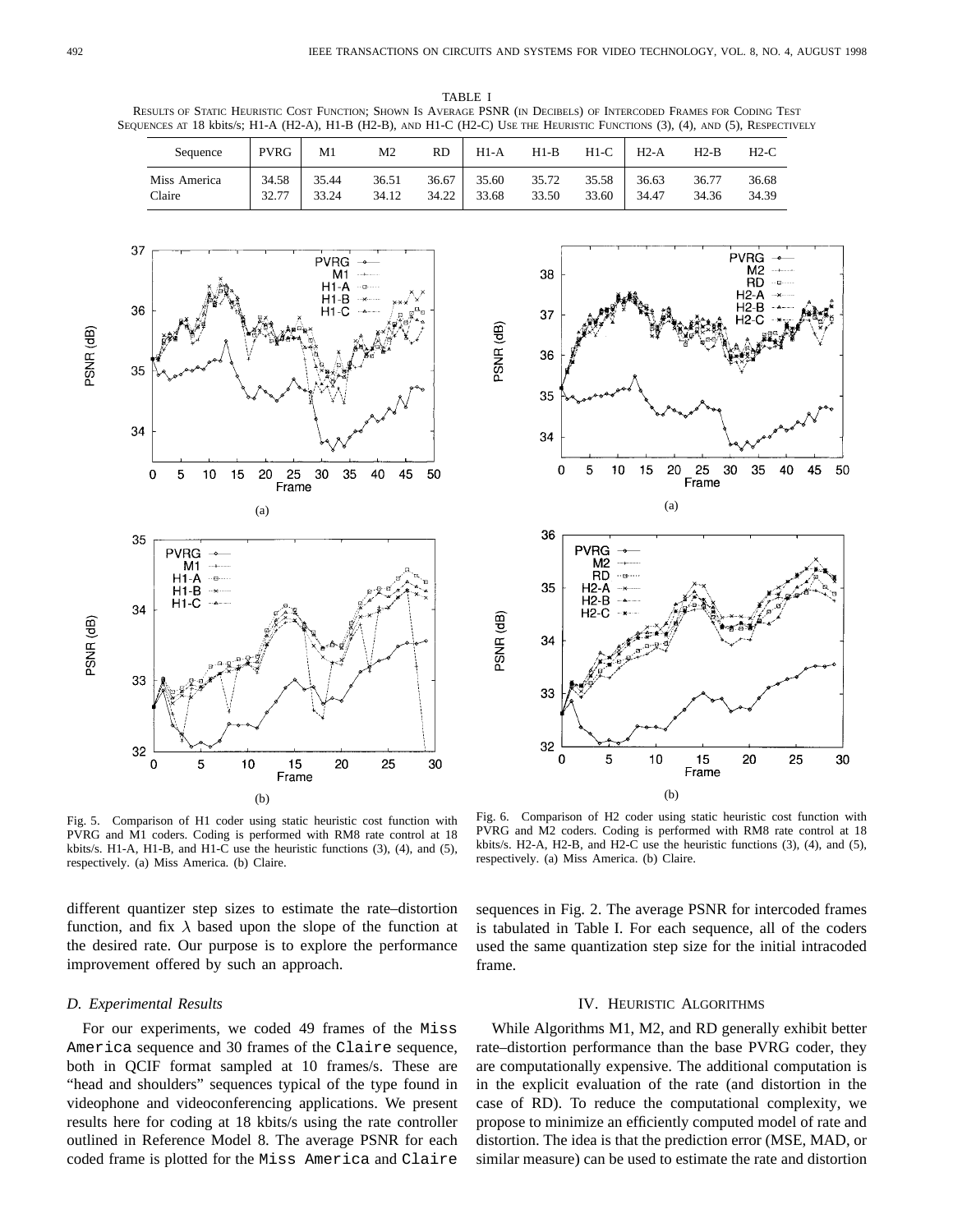TABLE I RESULTS OF STATIC HEURISTIC COST FUNCTION; SHOWN IS AVERAGE PSNR (IN DECIBELS) OF INTERCODED FRAMES FOR CODING TEST SEQUENCES AT 18 kbits/s; H1-A (H2-A), H1-B (H2-B), AND H1-C (H2-C) USE THE HEURISTIC FUNCTIONS (3), (4), AND (5), RESPECTIVELY

| Sequence     | PVRG  | M1    | M <sub>2</sub> | RD.   | $H1-A$      | $H1-B$ | $H1-C$ H2-A |       | $H2-B$ | $H2-C$ |
|--------------|-------|-------|----------------|-------|-------------|--------|-------------|-------|--------|--------|
| Miss America | 34.58 | 35.44 | 36.51          | 34.22 | 36.67 35.60 | 35.72  | 35.58       | 36.63 | 36.77  | 36.68  |
| Claire       | 32.77 | 33.24 | 34.12          |       | 33.68       | 33.50  | 33.60       | 34.47 | 34.36  | 34.39  |



Fig. 5. Comparison of H1 coder using static heuristic cost function with PVRG and M1 coders. Coding is performed with RM8 rate control at 18 kbits/s. H1-A, H1-B, and H1-C use the heuristic functions (3), (4), and (5), respectively. (a) Miss America. (b) Claire.

different quantizer step sizes to estimate the rate–distortion function, and fix  $\lambda$  based upon the slope of the function at the desired rate. Our purpose is to explore the performance improvement offered by such an approach.

#### *D. Experimental Results*

For our experiments, we coded 49 frames of the Miss America sequence and 30 frames of the Claire sequence, both in QCIF format sampled at 10 frames/s. These are "head and shoulders" sequences typical of the type found in videophone and videoconferencing applications. We present results here for coding at 18 kbits/s using the rate controller outlined in Reference Model 8. The average PSNR for each coded frame is plotted for the Miss America and Claire



Fig. 6. Comparison of H2 coder using static heuristic cost function with PVRG and M2 coders. Coding is performed with RM8 rate control at 18 kbits/s. H2-A, H2-B, and H2-C use the heuristic functions (3), (4), and (5), respectively. (a) Miss America. (b) Claire.

(b)

15

Frame

20

25

30

 $10$ 

0

5

sequences in Fig. 2. The average PSNR for intercoded frames is tabulated in Table I. For each sequence, all of the coders used the same quantization step size for the initial intracoded frame.

# IV. HEURISTIC ALGORITHMS

While Algorithms M1, M2, and RD generally exhibit better rate–distortion performance than the base PVRG coder, they are computationally expensive. The additional computation is in the explicit evaluation of the rate (and distortion in the case of RD). To reduce the computational complexity, we propose to minimize an efficiently computed model of rate and distortion. The idea is that the prediction error (MSE, MAD, or similar measure) can be used to estimate the rate and distortion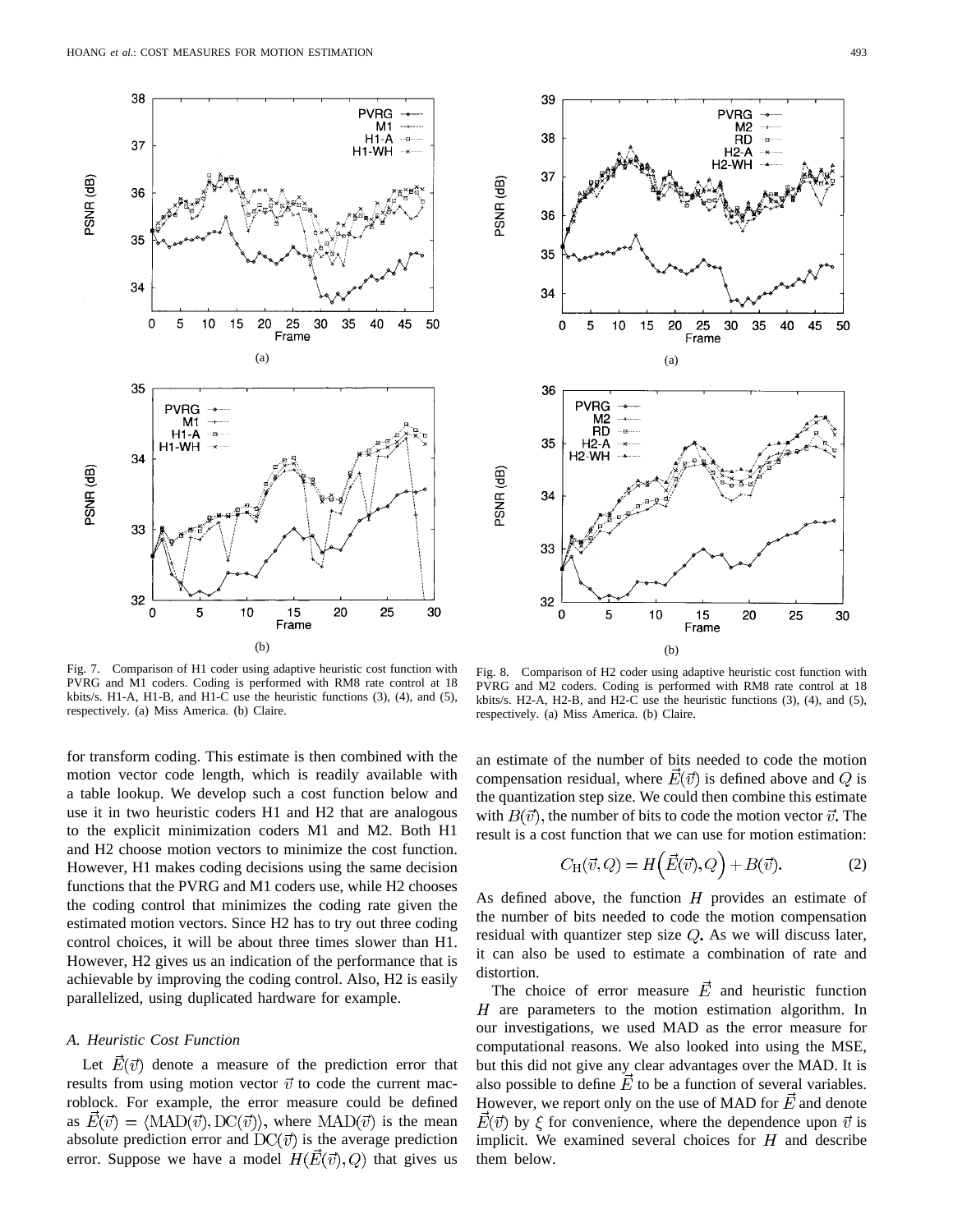



Fig. 7. Comparison of H1 coder using adaptive heuristic cost function with PVRG and M1 coders. Coding is performed with RM8 rate control at 18 kbits/s. H1-A, H1-B, and H1-C use the heuristic functions (3), (4), and (5), respectively. (a) Miss America. (b) Claire.

for transform coding. This estimate is then combined with the motion vector code length, which is readily available with a table lookup. We develop such a cost function below and use it in two heuristic coders H1 and H2 that are analogous to the explicit minimization coders M1 and M2. Both H1 and H2 choose motion vectors to minimize the cost function. However, H1 makes coding decisions using the same decision functions that the PVRG and M1 coders use, while H2 chooses the coding control that minimizes the coding rate given the estimated motion vectors. Since H2 has to try out three coding control choices, it will be about three times slower than H1. However, H2 gives us an indication of the performance that is achievable by improving the coding control. Also, H2 is easily parallelized, using duplicated hardware for example.

## *A. Heuristic Cost Function*

Let  $\vec{E}(\vec{v})$  denote a measure of the prediction error that results from using motion vector  $\vec{v}$  to code the current macroblock. For example, the error measure could be defined as  $E(\vec{v}) = \langle \text{MAD}(\vec{v}), \text{DC}(\vec{v}) \rangle$ , where  $\text{MAD}(\vec{v})$  is the mean absolute prediction error and  $DC(\vec{v})$  is the average prediction error. Suppose we have a model  $H(\vec{E}(\vec{v}), Q)$  that gives us

Fig. 8. Comparison of H2 coder using adaptive heuristic cost function with PVRG and M2 coders. Coding is performed with RM8 rate control at 18 kbits/s. H2-A, H2-B, and H2-C use the heuristic functions (3), (4), and (5), respectively. (a) Miss America. (b) Claire.

an estimate of the number of bits needed to code the motion compensation residual, where  $\vec{E}(\vec{v})$  is defined above and Q is the quantization step size. We could then combine this estimate with  $B(\vec{v})$ , the number of bits to code the motion vector  $\vec{v}$ . The result is a cost function that we can use for motion estimation:

$$
C_H(\vec{v}, Q) = H\left(\vec{E}(\vec{v}), Q\right) + B(\vec{v}).\tag{2}
$$

As defined above, the function  $H$  provides an estimate of the number of bits needed to code the motion compensation residual with quantizer step size  $Q$ . As we will discuss later, it can also be used to estimate a combination of rate and distortion.

The choice of error measure  $\vec{E}$  and heuristic function  $H$  are parameters to the motion estimation algorithm. In our investigations, we used MAD as the error measure for computational reasons. We also looked into using the MSE, but this did not give any clear advantages over the MAD. It is also possible to define  $E$  to be a function of several variables. However, we report only on the use of MAD for  $\vec{E}$  and denote  $\vec{E}(\vec{v})$  by  $\xi$  for convenience, where the dependence upon  $\vec{v}$  is implicit. We examined several choices for  $H$  and describe them below.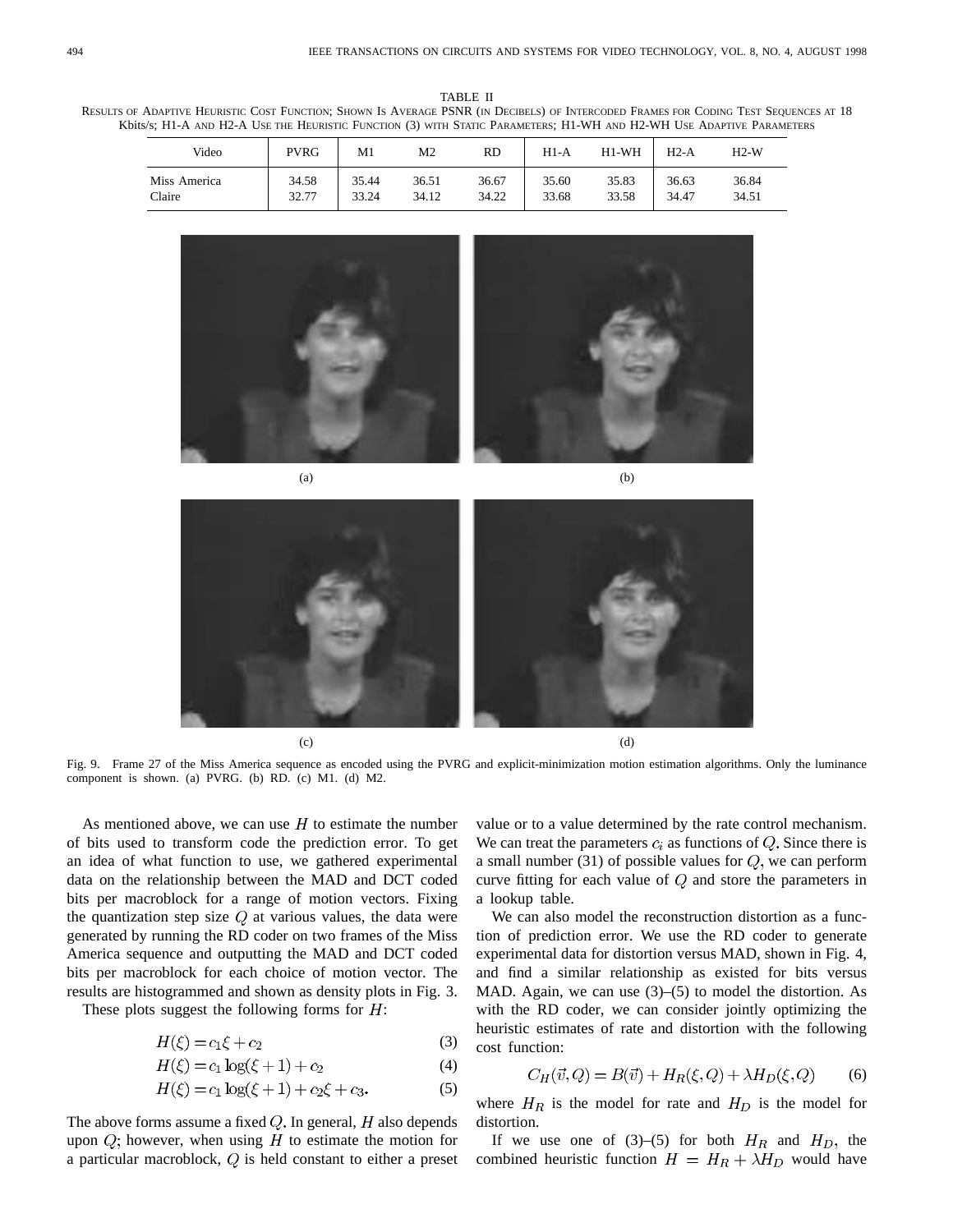TABLE II RESULTS OF ADAPTIVE HEURISTIC COST FUNCTION; SHOWN IS AVERAGE PSNR (IN DECIBELS) OF INTERCODED FRAMES FOR CODING TEST SEQUENCES AT 18 Kbits/s; H1-A AND H2-A USE THE HEURISTIC FUNCTION (3) WITH STATIC PARAMETERS; H1-WH AND H2-WH USE ADAPTIVE PARAMETERS

| Video        | PVRG  | M <sub>1</sub> | M2    | RD    | $H1-A$ | $H1-WH$ | $H2-A$ | $H2-W$ |
|--------------|-------|----------------|-------|-------|--------|---------|--------|--------|
| Miss America | 34.58 | 35.44          | 36.51 | 36.67 | 35.60  | 35.83   | 36.63  | 36.84  |
| Claire       | 32.77 | 33.24          | 34.12 | 34.22 | 33.68  | 33.58   | 34.47  | 34.51  |





Fig. 9. Frame 27 of the Miss America sequence as encoded using the PVRG and explicit-minimization motion estimation algorithms. Only the luminance component is shown. (a) PVRG. (b) RD. (c) M1. (d) M2.

As mentioned above, we can use  $H$  to estimate the number of bits used to transform code the prediction error. To get an idea of what function to use, we gathered experimental data on the relationship between the MAD and DCT coded bits per macroblock for a range of motion vectors. Fixing the quantization step size  $Q$  at various values, the data were generated by running the RD coder on two frames of the Miss America sequence and outputting the MAD and DCT coded bits per macroblock for each choice of motion vector. The results are histogrammed and shown as density plots in Fig. 3.

These plots suggest the following forms for  $H$ :

$$
H(\xi) = c_1 \xi + c_2 \tag{3}
$$

$$
H(\xi) = c_1 \log(\xi + 1) + c_2 \tag{4}
$$

$$
H(\xi) = c_1 \log(\xi + 1) + c_2 \xi + c_3. \tag{5}
$$

The above forms assume a fixed  $Q$ . In general,  $H$  also depends upon  $Q$ ; however, when using  $H$  to estimate the motion for a particular macroblock,  $Q$  is held constant to either a preset

value or to a value determined by the rate control mechanism. We can treat the parameters  $c_i$  as functions of Q. Since there is a small number (31) of possible values for  $Q$ , we can perform curve fitting for each value of  $Q$  and store the parameters in a lookup table.

We can also model the reconstruction distortion as a function of prediction error. We use the RD coder to generate experimental data for distortion versus MAD, shown in Fig. 4, and find a similar relationship as existed for bits versus MAD. Again, we can use  $(3)$ – $(5)$  to model the distortion. As with the RD coder, we can consider jointly optimizing the heuristic estimates of rate and distortion with the following cost function:

$$
C_H(\vec{v}, Q) = B(\vec{v}) + H_R(\xi, Q) + \lambda H_D(\xi, Q) \tag{6}
$$

where  $H_R$  is the model for rate and  $H_D$  is the model for distortion.

If we use one of (3)–(5) for both  $H_R$  and  $H_D$ , the combined heuristic function  $H = H_R + \lambda H_D$  would have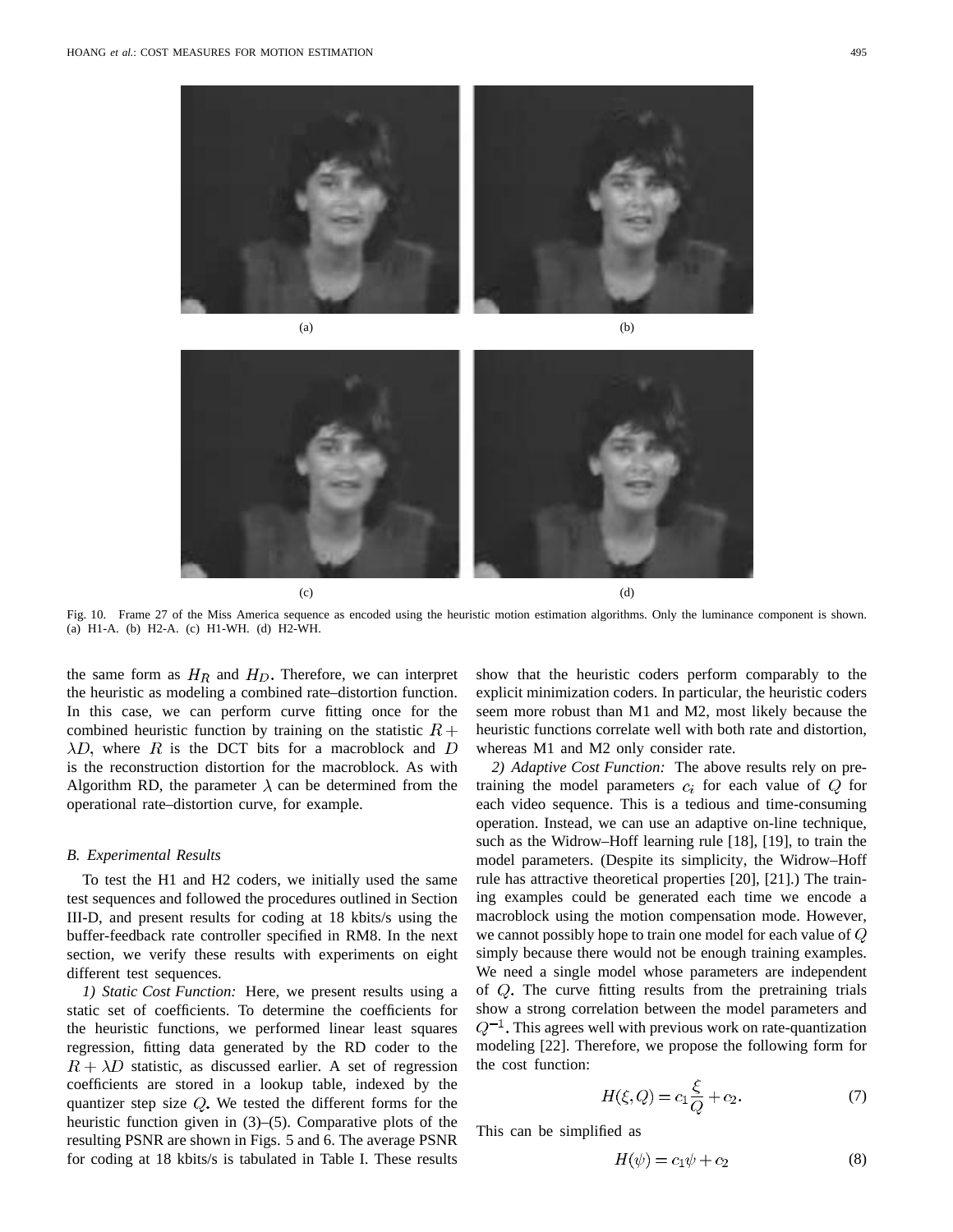



Fig. 10. Frame 27 of the Miss America sequence as encoded using the heuristic motion estimation algorithms. Only the luminance component is shown. (a)  $H1-A.$  (b)  $H2-A.$  (c)  $H1-WH.$  (d)  $H2-WH.$ 

the same form as  $H_R$  and  $H_D$ . Therefore, we can interpret the heuristic as modeling a combined rate–distortion function. In this case, we can perform curve fitting once for the combined heuristic function by training on the statistic  $R+$  $\lambda D$ , where R is the DCT bits for a macroblock and D is the reconstruction distortion for the macroblock. As with Algorithm RD, the parameter  $\lambda$  can be determined from the operational rate–distortion curve, for example.

### *B. Experimental Results*

To test the H1 and H2 coders, we initially used the same test sequences and followed the procedures outlined in Section III-D, and present results for coding at 18 kbits/s using the buffer-feedback rate controller specified in RM8. In the next section, we verify these results with experiments on eight different test sequences.

*1) Static Cost Function:* Here, we present results using a static set of coefficients. To determine the coefficients for the heuristic functions, we performed linear least squares regression, fitting data generated by the RD coder to the  $R + \lambda D$  statistic, as discussed earlier. A set of regression coefficients are stored in a lookup table, indexed by the quantizer step size  $Q$ . We tested the different forms for the heuristic function given in  $(3)$ – $(5)$ . Comparative plots of the resulting PSNR are shown in Figs. 5 and 6. The average PSNR for coding at 18 kbits/s is tabulated in Table I. These results

show that the heuristic coders perform comparably to the explicit minimization coders. In particular, the heuristic coders seem more robust than M1 and M2, most likely because the heuristic functions correlate well with both rate and distortion, whereas M1 and M2 only consider rate.

*2) Adaptive Cost Function:* The above results rely on pretraining the model parameters  $c_i$  for each value of  $Q$  for each video sequence. This is a tedious and time-consuming operation. Instead, we can use an adaptive on-line technique, such as the Widrow–Hoff learning rule [18], [19], to train the model parameters. (Despite its simplicity, the Widrow–Hoff rule has attractive theoretical properties [20], [21].) The training examples could be generated each time we encode a macroblock using the motion compensation mode. However, we cannot possibly hope to train one model for each value of  $Q$ simply because there would not be enough training examples. We need a single model whose parameters are independent of  $Q$ . The curve fitting results from the pretraining trials show a strong correlation between the model parameters and  $Q^{-1}$ . This agrees well with previous work on rate-quantization modeling [22]. Therefore, we propose the following form for the cost function:

$$
H(\xi, Q) = c_1 \frac{\xi}{Q} + c_2.
$$
 (7)

This can be simplified as

$$
H(\psi) = c_1 \psi + c_2 \tag{8}
$$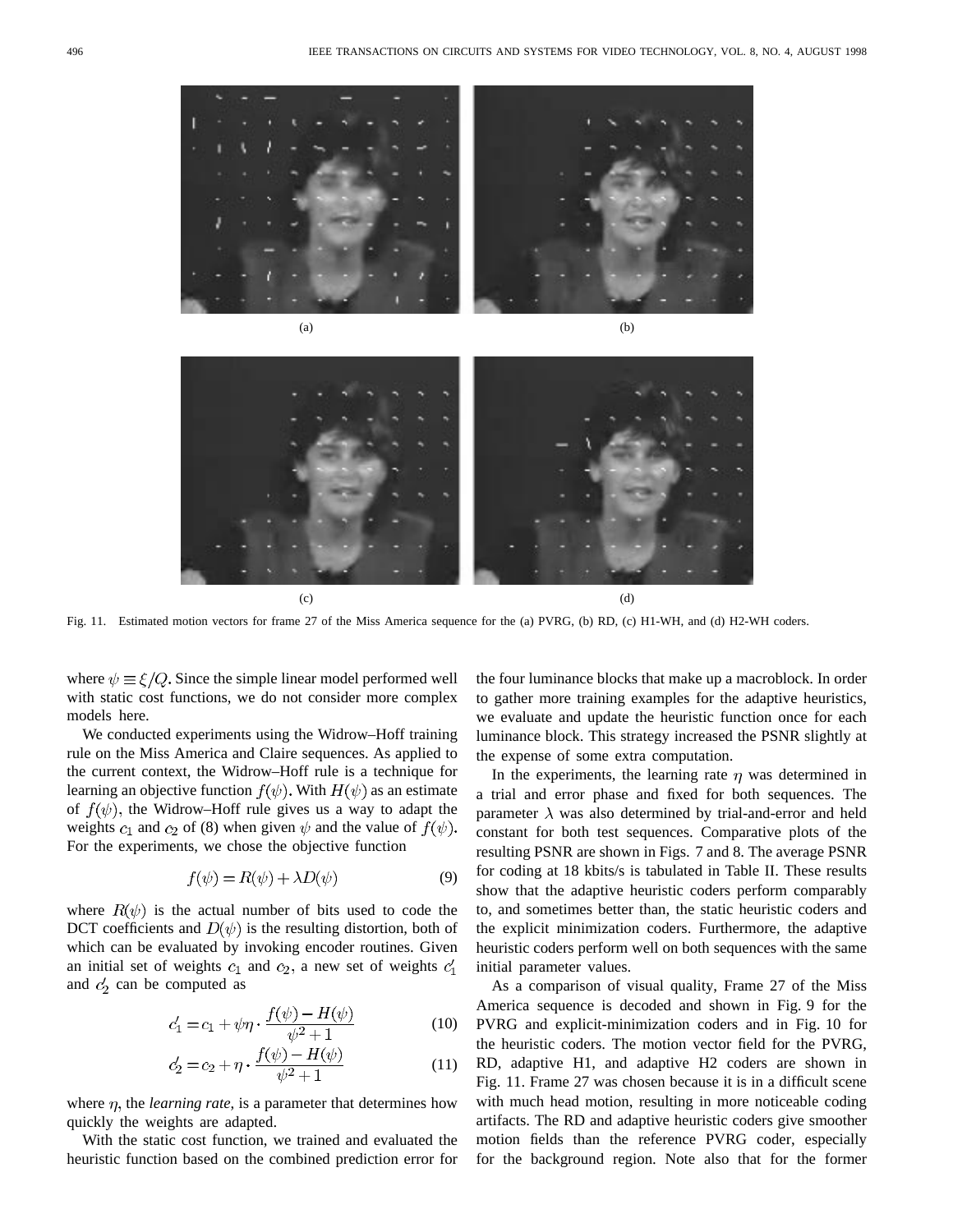



Fig. 11. Estimated motion vectors for frame 27 of the Miss America sequence for the (a) PVRG, (b) RD, (c) H1-WH, and (d) H2-WH coders.

where  $\psi \equiv \xi/Q$ . Since the simple linear model performed well with static cost functions, we do not consider more complex models here.

We conducted experiments using the Widrow–Hoff training rule on the Miss America and Claire sequences. As applied to the current context, the Widrow–Hoff rule is a technique for learning an objective function  $f(\psi)$ . With  $H(\psi)$  as an estimate of  $f(\psi)$ , the Widrow–Hoff rule gives us a way to adapt the weights  $c_1$  and  $c_2$  of (8) when given  $\psi$  and the value of  $f(\psi)$ . For the experiments, we chose the objective function

$$
f(\psi) = R(\psi) + \lambda D(\psi)
$$
 (9)

where  $R(\psi)$  is the actual number of bits used to code the DCT coefficients and  $D(\psi)$  is the resulting distortion, both of which can be evaluated by invoking encoder routines. Given an initial set of weights  $c_1$  and  $c_2$ , a new set of weights  $c_1$ and  $c_2$  can be computed as

$$
c'_{1} = c_{1} + \psi \eta \cdot \frac{f(\psi) - H(\psi)}{\psi^{2} + 1}
$$
 (10)

$$
c'_{2} = c_{2} + \eta \cdot \frac{f(\psi) - H(\psi)}{\psi^{2} + 1}
$$
 (11)

where  $\eta$ , the *learning rate*, is a parameter that determines how quickly the weights are adapted.

With the static cost function, we trained and evaluated the heuristic function based on the combined prediction error for

the four luminance blocks that make up a macroblock. In order to gather more training examples for the adaptive heuristics, we evaluate and update the heuristic function once for each luminance block. This strategy increased the PSNR slightly at the expense of some extra computation.

In the experiments, the learning rate  $\eta$  was determined in a trial and error phase and fixed for both sequences. The parameter  $\lambda$  was also determined by trial-and-error and held constant for both test sequences. Comparative plots of the resulting PSNR are shown in Figs. 7 and 8. The average PSNR for coding at 18 kbits/s is tabulated in Table II. These results show that the adaptive heuristic coders perform comparably to, and sometimes better than, the static heuristic coders and the explicit minimization coders. Furthermore, the adaptive heuristic coders perform well on both sequences with the same initial parameter values.

As a comparison of visual quality, Frame 27 of the Miss America sequence is decoded and shown in Fig. 9 for the PVRG and explicit-minimization coders and in Fig. 10 for the heuristic coders. The motion vector field for the PVRG, RD, adaptive H1, and adaptive H2 coders are shown in Fig. 11. Frame 27 was chosen because it is in a difficult scene with much head motion, resulting in more noticeable coding artifacts. The RD and adaptive heuristic coders give smoother motion fields than the reference PVRG coder, especially for the background region. Note also that for the former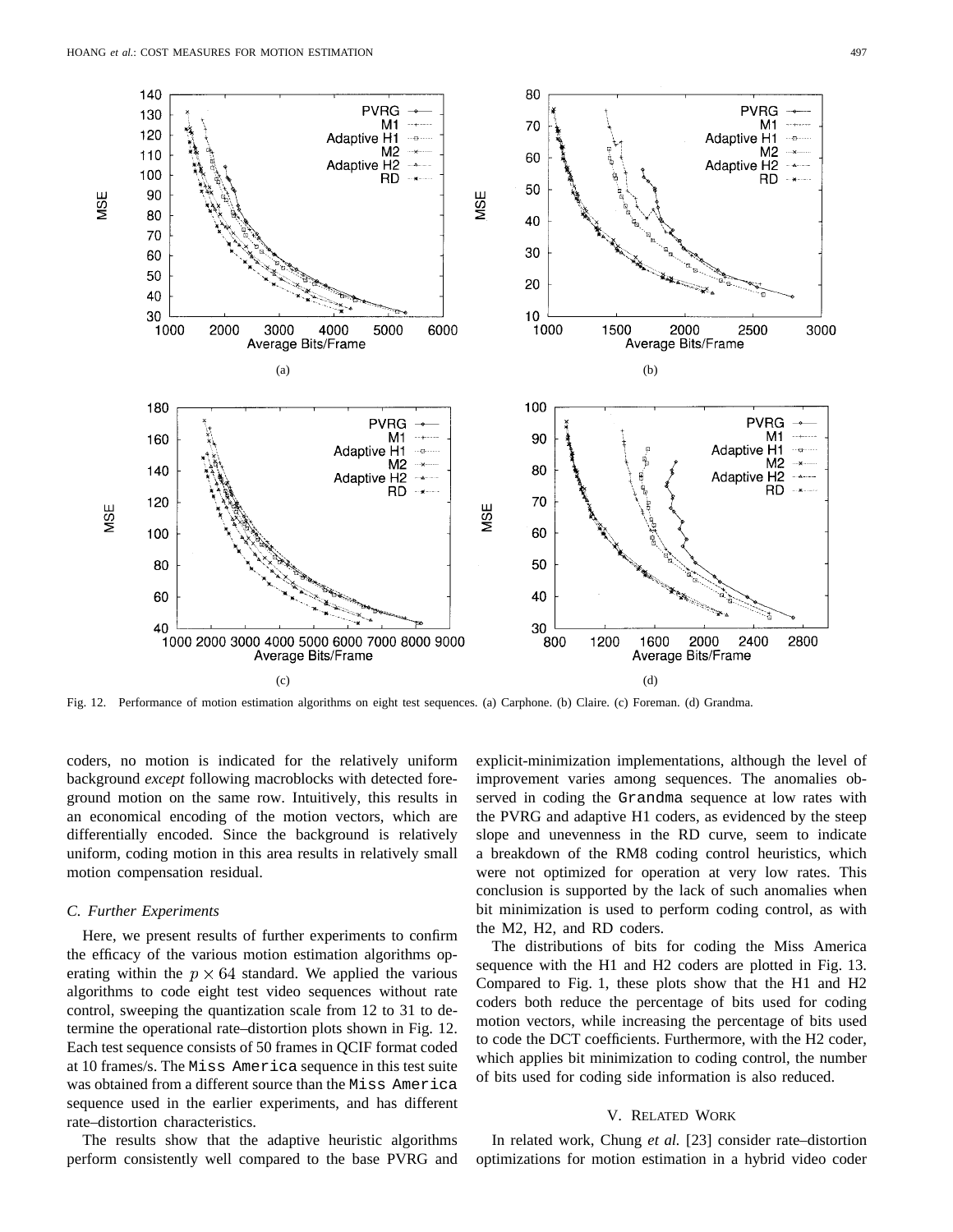

Fig. 12. Performance of motion estimation algorithms on eight test sequences. (a) Carphone. (b) Claire. (c) Foreman. (d) Grandma.

coders, no motion is indicated for the relatively uniform background *except* following macroblocks with detected foreground motion on the same row. Intuitively, this results in an economical encoding of the motion vectors, which are differentially encoded. Since the background is relatively uniform, coding motion in this area results in relatively small motion compensation residual.

## *C. Further Experiments*

Here, we present results of further experiments to confirm the efficacy of the various motion estimation algorithms operating within the  $p \times 64$  standard. We applied the various algorithms to code eight test video sequences without rate control, sweeping the quantization scale from 12 to 31 to determine the operational rate–distortion plots shown in Fig. 12. Each test sequence consists of 50 frames in QCIF format coded at 10 frames/s. The Miss America sequence in this test suite was obtained from a different source than the Miss America sequence used in the earlier experiments, and has different rate–distortion characteristics.

The results show that the adaptive heuristic algorithms perform consistently well compared to the base PVRG and explicit-minimization implementations, although the level of improvement varies among sequences. The anomalies observed in coding the Grandma sequence at low rates with the PVRG and adaptive H1 coders, as evidenced by the steep slope and unevenness in the RD curve, seem to indicate a breakdown of the RM8 coding control heuristics, which were not optimized for operation at very low rates. This conclusion is supported by the lack of such anomalies when bit minimization is used to perform coding control, as with the M2, H2, and RD coders.

The distributions of bits for coding the Miss America sequence with the H1 and H2 coders are plotted in Fig. 13. Compared to Fig. 1, these plots show that the H1 and H2 coders both reduce the percentage of bits used for coding motion vectors, while increasing the percentage of bits used to code the DCT coefficients. Furthermore, with the H2 coder, which applies bit minimization to coding control, the number of bits used for coding side information is also reduced.

### V. RELATED WORK

In related work, Chung *et al.* [23] consider rate–distortion optimizations for motion estimation in a hybrid video coder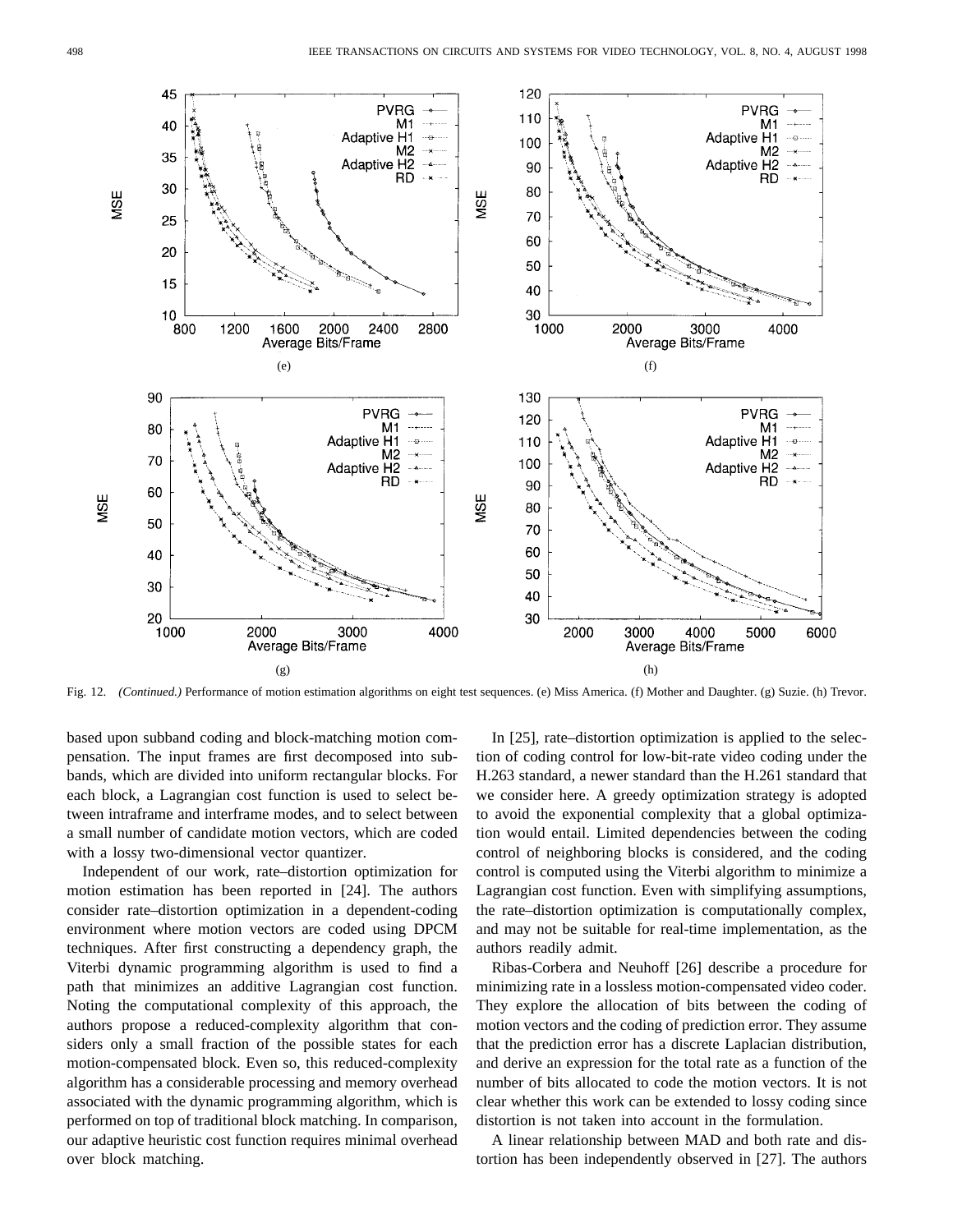

Fig. 12. *(Continued.)* Performance of motion estimation algorithms on eight test sequences. (e) Miss America. (f) Mother and Daughter. (g) Suzie. (h) Trevor.

based upon subband coding and block-matching motion compensation. The input frames are first decomposed into subbands, which are divided into uniform rectangular blocks. For each block, a Lagrangian cost function is used to select between intraframe and interframe modes, and to select between a small number of candidate motion vectors, which are coded with a lossy two-dimensional vector quantizer.

Independent of our work, rate–distortion optimization for motion estimation has been reported in [24]. The authors consider rate–distortion optimization in a dependent-coding environment where motion vectors are coded using DPCM techniques. After first constructing a dependency graph, the Viterbi dynamic programming algorithm is used to find a path that minimizes an additive Lagrangian cost function. Noting the computational complexity of this approach, the authors propose a reduced-complexity algorithm that considers only a small fraction of the possible states for each motion-compensated block. Even so, this reduced-complexity algorithm has a considerable processing and memory overhead associated with the dynamic programming algorithm, which is performed on top of traditional block matching. In comparison, our adaptive heuristic cost function requires minimal overhead over block matching.

In [25], rate–distortion optimization is applied to the selection of coding control for low-bit-rate video coding under the H.263 standard, a newer standard than the H.261 standard that we consider here. A greedy optimization strategy is adopted to avoid the exponential complexity that a global optimization would entail. Limited dependencies between the coding control of neighboring blocks is considered, and the coding control is computed using the Viterbi algorithm to minimize a Lagrangian cost function. Even with simplifying assumptions, the rate–distortion optimization is computationally complex, and may not be suitable for real-time implementation, as the authors readily admit.

Ribas-Corbera and Neuhoff [26] describe a procedure for minimizing rate in a lossless motion-compensated video coder. They explore the allocation of bits between the coding of motion vectors and the coding of prediction error. They assume that the prediction error has a discrete Laplacian distribution, and derive an expression for the total rate as a function of the number of bits allocated to code the motion vectors. It is not clear whether this work can be extended to lossy coding since distortion is not taken into account in the formulation.

A linear relationship between MAD and both rate and distortion has been independently observed in [27]. The authors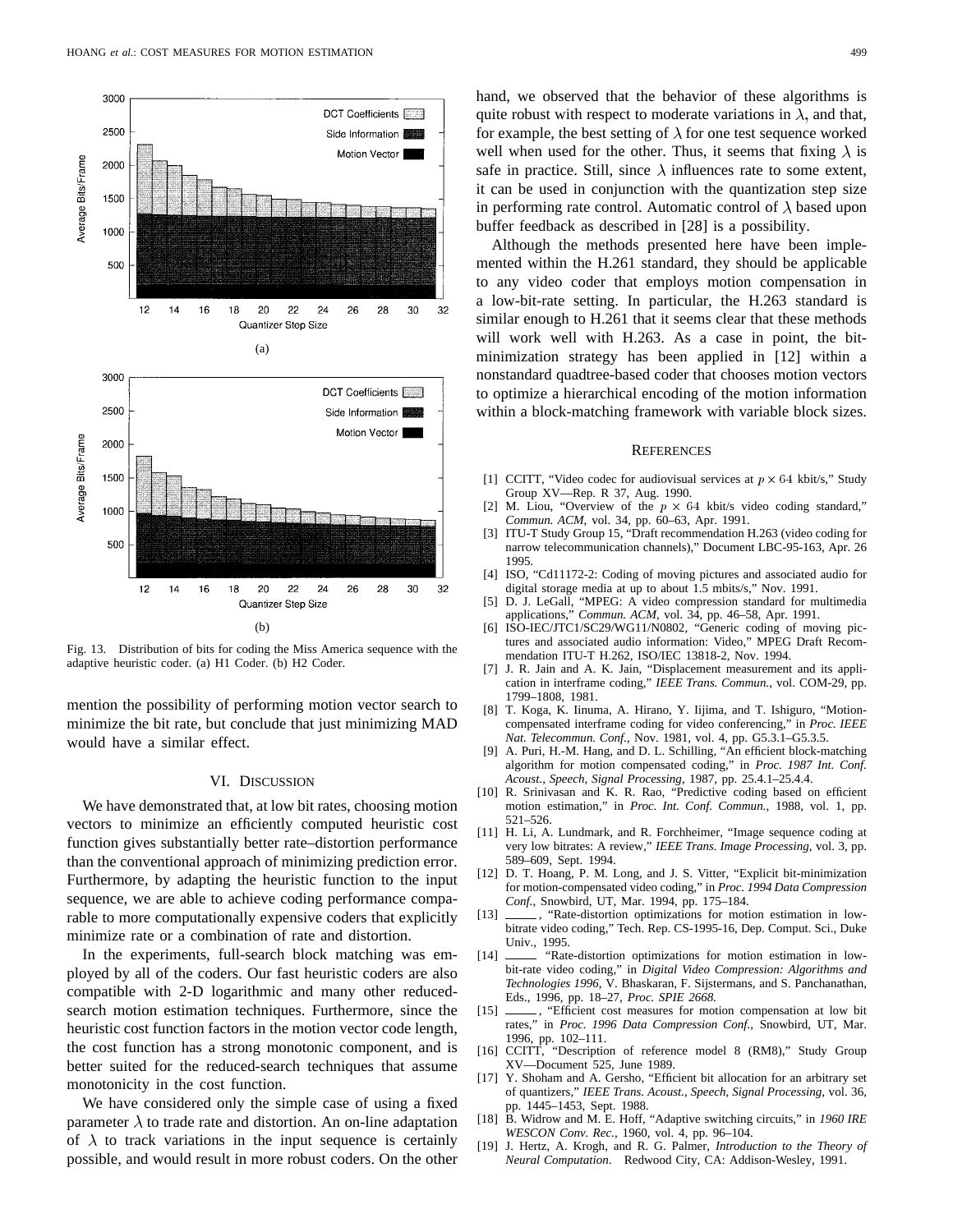

Fig. 13. Distribution of bits for coding the Miss America sequence with the adaptive heuristic coder. (a) H1 Coder. (b) H2 Coder.

mention the possibility of performing motion vector search to minimize the bit rate, but conclude that just minimizing MAD would have a similar effect.

# VI. DISCUSSION

We have demonstrated that, at low bit rates, choosing motion vectors to minimize an efficiently computed heuristic cost function gives substantially better rate–distortion performance than the conventional approach of minimizing prediction error. Furthermore, by adapting the heuristic function to the input sequence, we are able to achieve coding performance comparable to more computationally expensive coders that explicitly minimize rate or a combination of rate and distortion.

In the experiments, full-search block matching was employed by all of the coders. Our fast heuristic coders are also compatible with 2-D logarithmic and many other reducedsearch motion estimation techniques. Furthermore, since the heuristic cost function factors in the motion vector code length, the cost function has a strong monotonic component, and is better suited for the reduced-search techniques that assume monotonicity in the cost function.

We have considered only the simple case of using a fixed parameter  $\lambda$  to trade rate and distortion. An on-line adaptation of  $\lambda$  to track variations in the input sequence is certainly possible, and would result in more robust coders. On the other

hand, we observed that the behavior of these algorithms is quite robust with respect to moderate variations in  $\lambda$ , and that, for example, the best setting of  $\lambda$  for one test sequence worked well when used for the other. Thus, it seems that fixing  $\lambda$  is safe in practice. Still, since  $\lambda$  influences rate to some extent, it can be used in conjunction with the quantization step size in performing rate control. Automatic control of  $\lambda$  based upon buffer feedback as described in [28] is a possibility.

Although the methods presented here have been implemented within the H.261 standard, they should be applicable to any video coder that employs motion compensation in a low-bit-rate setting. In particular, the H.263 standard is similar enough to H.261 that it seems clear that these methods will work well with H.263. As a case in point, the bitminimization strategy has been applied in [12] within a nonstandard quadtree-based coder that chooses motion vectors to optimize a hierarchical encoding of the motion information within a block-matching framework with variable block sizes.

## **REFERENCES**

- [1] CCITT, "Video codec for audiovisual services at  $p \times 64$  kbit/s," Study Group XV—Rep. R 37, Aug. 1990.
- [2] M. Liou, "Overview of the  $p \times 64$  kbit/s video coding standard," *Commun. ACM*, vol. 34, pp. 60–63, Apr. 1991.
- [3] ITU-T Study Group 15, "Draft recommendation H.263 (video coding for narrow telecommunication channels)," Document LBC-95-163, Apr. 26 1995.
- [4] ISO, "Cd11172-2: Coding of moving pictures and associated audio for digital storage media at up to about 1.5 mbits/s," Nov. 1991.
- [5] D. J. LeGall, "MPEG: A video compression standard for multimedia applications," *Commun. ACM*, vol. 34, pp. 46–58, Apr. 1991.
- [6] ISO-IEC/JTC1/SC29/WG11/N0802, "Generic coding of moving pictures and associated audio information: Video," MPEG Draft Recommendation ITU-T H.262, ISO/IEC 13818-2, Nov. 1994.
- [7] J. R. Jain and A. K. Jain, "Displacement measurement and its application in interframe coding," *IEEE Trans. Commun.*, vol. COM-29, pp. 1799–1808, 1981.
- [8] T. Koga, K. Iinuma, A. Hirano, Y. Iijima, and T. Ishiguro, "Motioncompensated interframe coding for video conferencing," in *Proc. IEEE Nat. Telecommun. Conf.*, Nov. 1981, vol. 4, pp. G5.3.1–G5.3.5.
- [9] A. Puri, H.-M. Hang, and D. L. Schilling, "An efficient block-matching algorithm for motion compensated coding," in *Proc. 1987 Int. Conf. Acoust., Speech, Signal Processing*, 1987, pp. 25.4.1–25.4.4.
- [10] R. Srinivasan and K. R. Rao, "Predictive coding based on efficient motion estimation," in *Proc. Int. Conf. Commun.*, 1988, vol. 1, pp. 521–526.
- [11] H. Li, A. Lundmark, and R. Forchheimer, "Image sequence coding at very low bitrates: A review," *IEEE Trans. Image Processing*, vol. 3, pp. 589–609, Sept. 1994.
- [12] D. T. Hoang, P. M. Long, and J. S. Vitter, "Explicit bit-minimization for motion-compensated video coding," in *Proc. 1994 Data Compression Conf.*, Snowbird, UT, Mar. 1994, pp. 175–184.
- [13]  $\_\_\_\$ , "Rate-distortion optimizations for motion estimation in lowbitrate video coding," Tech. Rep. CS-1995-16, Dep. Comput. Sci., Duke Univ., 1995.
- [14] \_\_\_\_\_\_\_ "Rate-distortion optimizations for motion estimation in lowbit-rate video coding," in *Digital Video Compression: Algorithms and Technologies 1996*, V. Bhaskaran, F. Sijstermans, and S. Panchanathan, Eds., 1996, pp. 18–27, *Proc. SPIE 2668.*
- [15]  $\frac{15}{2}$ , "Efficient cost measures for motion compensation at low bit rates," in *Proc. 1996 Data Compression Conf.*, Snowbird, UT, Mar. 1996, pp. 102–111.
- [16] CCITT, "Description of reference model 8 (RM8)," Study Group XV—Document 525, June 1989.
- [17] Y. Shoham and A. Gersho, "Efficient bit allocation for an arbitrary set of quantizers," *IEEE Trans. Acoust., Speech, Signal Processing*, vol. 36, pp. 1445–1453, Sept. 1988.
- [18] B. Widrow and M. E. Hoff, "Adaptive switching circuits," in *1960 IRE WESCON Conv. Rec.*, 1960, vol. 4, pp. 96–104.
- [19] J. Hertz, A. Krogh, and R. G. Palmer, *Introduction to the Theory of Neural Computation*. Redwood City, CA: Addison-Wesley, 1991.